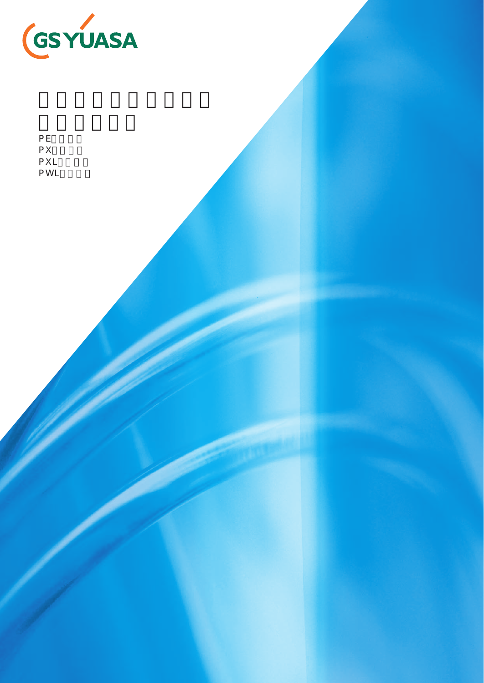

| РE  |  |
|-----|--|
| РX  |  |
| PXL |  |
| PWL |  |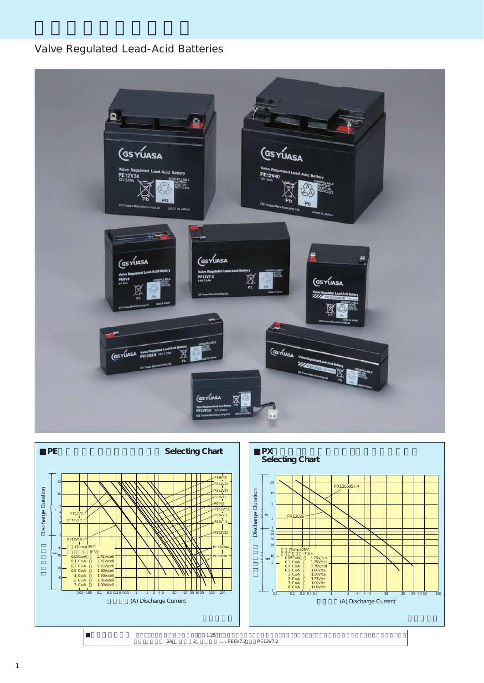# Valve Regulated Lead-Acid Batteries



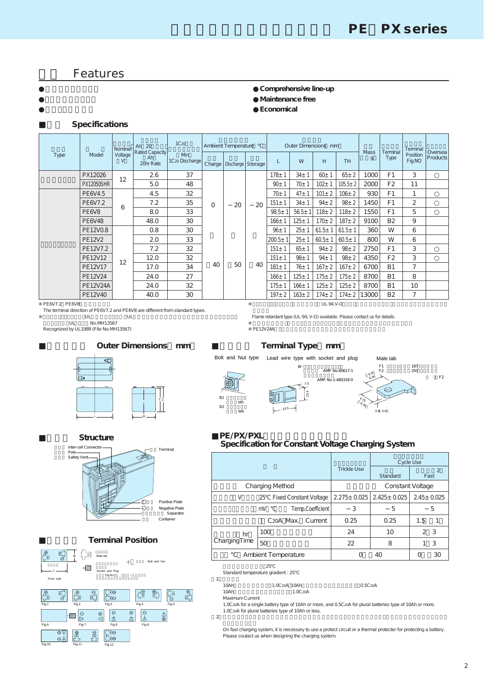# **Features**

### **●Comprehensive line-up ●Maintenance free ●Economical**

## **Specifications**

|               |                                | Nominal      | Ah $20$                           | 1C <sub>20</sub>                                    |          | Ambient Temperature<br>Outer Dimensions mm |             |                    |             |              |               |                             | Terminal                |                    |                            |
|---------------|--------------------------------|--------------|-----------------------------------|-----------------------------------------------------|----------|--------------------------------------------|-------------|--------------------|-------------|--------------|---------------|-----------------------------|-------------------------|--------------------|----------------------------|
| Type          | Model                          | Voltage<br>V | Rated Capacity<br>Ah<br>20hr Rate | <b>M</b> <sub>n</sub><br>1C <sub>20</sub> Discharge |          | Charge   Discharge   Storage               |             | L                  | W           | H            | <b>TH</b>     | <b>Mass</b><br>$\mathbf{g}$ | Terminal<br><b>Type</b> | Position<br>Fig.NO | Oversea<br><b>Products</b> |
|               | PX12026                        | 12           | 2.6                               | 37                                                  |          |                                            |             | $178 + 1$          | $34 + 1$    | $60+1$       | $65 \pm 2$    | 1000                        | F <sub>1</sub>          | 3                  |                            |
|               | PX12050SHR                     |              | 5.0                               | 48                                                  |          |                                            |             | $90+1$             | 70± 1       | $102 +$      | $105.5 \pm 2$ | 2000                        | F <sub>2</sub>          | 11                 |                            |
|               | PE6V4.5                        | 32<br>4.5    |                                   | $70+1$                                              | $47 + 1$ | $101 \pm 2$                                | $106 \pm 2$ | 930                | F1          | 1            |               |                             |                         |                    |                            |
|               | PE6V7.2                        | 6            | 7.2                               | 35                                                  | $\Omega$ | 20                                         | 20          | $151 \pm 1$        | $34 + 1$    | $94 \pm 2$   | $98 + 2$      | 1450                        | F1                      | 2                  |                            |
|               | PE <sub>6</sub> V <sub>8</sub> |              | 8.0                               | 33                                                  |          |                                            |             | $98.5+$            | $56.5+$     | $118 + 2$    | $118 + 2$     | 1550                        | F1                      | 5                  |                            |
|               | PE 6V 48                       |              | 48.0                              | 30                                                  |          |                                            |             | $166 + 1$          | $125 + 1$   | $170 + 2$    | $187 + 2$     | 9100                        | <b>B2</b>               | 9                  |                            |
|               | PE12V0.8                       |              | 0.8                               | 30                                                  |          |                                            |             | 96±1               | $25 + 1$    | $61.5 \pm 1$ | $61.5 \pm 1$  | 360                         | W                       | 6                  |                            |
|               | <b>PE12V2</b>                  |              | 2.0                               | 33                                                  |          |                                            |             | 200.5 <sub>±</sub> | $25 + 1$    | $60.5 \pm 1$ | $60.5 + 1$    | 800                         | W                       | 6                  |                            |
|               | PE12V7.2                       |              | 7.2                               | 32                                                  |          |                                            |             | $151 \pm 1$        | $65 + 1$    | $94 \pm 2$   | $98 \pm 2$    | 2750                        | F1                      | 3                  |                            |
|               | PE12V12                        | 12           | 12.0                              | 32                                                  |          |                                            |             | $151 \pm 1$        | $98 + 1$    | $94 + 1$     | $98 + 2$      | 4350                        | F <sub>2</sub>          | 3                  |                            |
|               | PE12V17                        |              | 17.0                              | 34                                                  | 40       | 50                                         | 40          | $181 \pm 1$        | $76 + 1$    | $167 + 2$    | $167 + 2$     | 6700                        | <b>B1</b>               | 7                  |                            |
|               | PE12V24                        |              | 24.0                              | 27                                                  |          |                                            |             | $166 + 1$          | $125 + 1$   | $175 + 2$    | $175 + 2$     | 8700                        | <b>B1</b>               | 8                  |                            |
|               | <b>PE12V24A</b>                |              | 24.0                              | 32                                                  |          |                                            |             | $175 + 1$          | $166 + 1$   | $125 \pm 2$  | $125 \pm 2$   | 8700                        | <b>B1</b>               | 10                 |                            |
|               | PE12V40                        |              | 40.0                              | 30                                                  |          |                                            |             | $197 + 2$          | $163 \pm 2$ | $174 \pm 2$  | $174 \pm 2$   | 13000                       | <b>B2</b>               | 7                  |                            |
| PE6V7.2 PE6V8 |                                |              |                                   |                                                     |          |                                            |             |                    |             | UL-94, V-O   |               |                             |                         |                    |                            |

PE6V7.2 PE6V8

The terminal direction of PE6V7.2 and PE6V8 are different from standard types.<br>UL UL  $UL$   $UL$   $UL$ 

UL No.MH13567

Recognized by UL1989 (File No.MH13567)



.<br>Flame retardant type (UL-94, V-O) available. Please contact us for details.

PE12V24A

#### **Terminal Type mm** Bolt and Nut type Lead wire type with socket and plug Male tab F1 187<br>F2 250 W<br>AMP No.60617-1 8.0  $AMP No.1-480318-0 \qquad \qquad 6.35$ 6.35  $\widehat{\circledast}$ 7.513.4 B1 4.75 ボルトM5  $B2$  $\epsilon_{35}$  ボルトM6 23.5  $0.8$

#### **Outer Dimensions mm**



Inter-cell Connector ポール Pole Safety Ven Positive Plate Negative Plate<br>Separator Terminal Structure

#### **Terminal Position**

Container



### PE/PX/PXL **Specification for Constant Voltage Charging System**

|              |                                     |                    | Cycle Use                   |                        |  |  |  |
|--------------|-------------------------------------|--------------------|-----------------------------|------------------------|--|--|--|
|              |                                     | <b>Trickle Use</b> | <b>Standard</b>             | $\overline{2}$<br>Fast |  |  |  |
|              | <b>Charging Method</b>              | Constant Voltage   |                             |                        |  |  |  |
| V            | <b>Fixed Constant Voltage</b><br>25 |                    | 2.275± 0.025   2.425± 0.025 |                        |  |  |  |
|              | Temp.Coefficient<br>mV              | 3                  | 5                           | 5                      |  |  |  |
|              | C <sub>20</sub> A Max.<br>Current   | 0.25               | 0.25                        | 1.5                    |  |  |  |
| hr           | 100                                 | 24                 | 10                          | 2 3                    |  |  |  |
| ChargingTime | 50                                  | 22                 | 8                           | -3                     |  |  |  |
|              | Ambient Temperature                 |                    |                             | 30                     |  |  |  |

 $\sim$  25 $\sim$ Standard temperature gradient : 25

 $1$  10Ah 10Ah以上の電池の場合 1.0C20A、10Ah以上で組電池で使用する場合 0.5C20A 1.0C<sub>20</sub>A

Maximum Current

1.0C2oA for a single battery type of 10Ah or more, and 0.5C2oA for plural batteries type of 10Ah or more.<br>1.0C2oA for plural batteries type of 10Ah or less.

 $2$ 

.<br>On fast charging system, it is necessary to use a protect circuit or a thermal protecter for protecting a battery. Please coutact us when designing the charging system.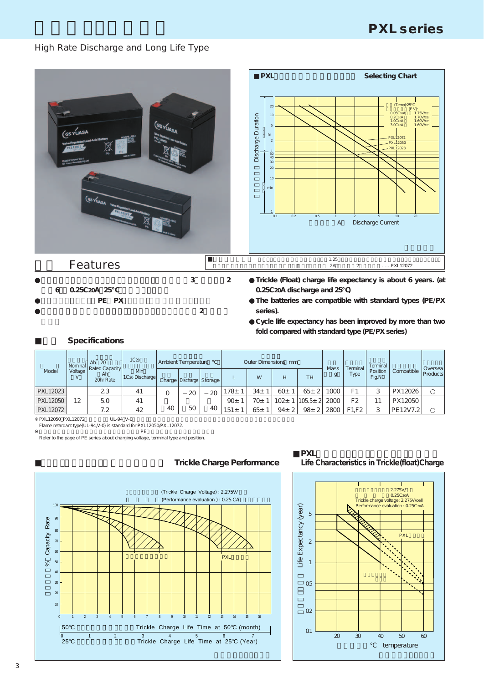# **PXL series**

# High Rate Discharge and Long Life Type



**●The batteries are compatible with standard types (PE/PX series).**

**Cycle life expectancy has been improved by more than two fold compared with standard type (PE/PX series)**

### **Specifications**

PE PX

**●サイクル寿命の向上をはかり、スタンダードタイプと比べ2倍以上を**

| Ah 20<br>Nominal  |         | 1C <sub>20</sub>                         | Ambient Temperature               |    |                              |    |                  | Outer Dimensions mm |                 | <b>Mass</b>        |             | Terminal         |                    |            |                            |
|-------------------|---------|------------------------------------------|-----------------------------------|----|------------------------------|----|------------------|---------------------|-----------------|--------------------|-------------|------------------|--------------------|------------|----------------------------|
| Model             | Voltage | <b>Rated Capacity</b><br>Ah<br>20hr Rate | Min<br>1C <sub>20</sub> Discharge |    | Charge   Discharge   Storage |    |                  | W                   | H               | <b>TH</b>          |             | Terminal<br>Type | Position<br>Fig.NO | Compatible | Oversea<br><b>Products</b> |
| PXL12023          |         | 2.3                                      | 41                                | 0  | 20                           | 20 | 178 <sub>±</sub> | 34±                 | 60 <sub>±</sub> | 65 <sub>±</sub>    | 1000        | F1               | 3                  | PX12026    |                            |
| PXL12050          | 12      | 5.0                                      | 41                                |    |                              |    | 90 <sub>±</sub>  | 70 <sub>±</sub>     | $102 +$         | 105.5 <sub>±</sub> | 2000        | F <sub>2</sub>   | 11                 | PX12050    |                            |
| PXL12072          |         | 7.2                                      | 42                                | 40 | 50                           | 40 | 151 <sub>±</sub> | 65±                 | $94 \pm 2$      | 98 <sub>±</sub>    | <b>2800</b> | F1.F2            | р                  | PE12V7.2   |                            |
| PXL12050 PXL12072 |         | UL-94 V-0                                |                                   |    |                              |    |                  |                     |                 |                    |             |                  |                    |            |                            |

Flame retardant type(UL-94, V-0) is standard for PXL12050/PXL12072.<br>PF

PE<br>Refer to the page of PE series about charging voltage, terminal type and position.



# **Trickle Charge Performance**



#### **■PXL型電池のトリクル(フロート)期待寿命 Life Characteristics in Trickle(float)Charge**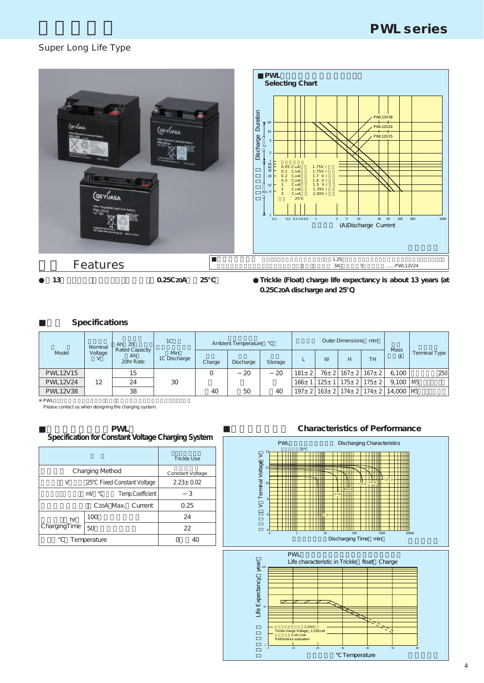# Super Long Life Type



**0.25C20A discharge and 25℃)**

# **Specifications**

|                 | 1 <sup>C</sup><br>Ah 20<br>Nominal<br>Rated Capacity<br>Model<br>Voltage<br><b>Min</b><br>Ah.<br>1C Discharge<br>20hr Rate |    | Ambient Temperature |        |           | Outer Dimensions mm | <b>Mass</b>  |           |                |                                               |                                        |               |
|-----------------|----------------------------------------------------------------------------------------------------------------------------|----|---------------------|--------|-----------|---------------------|--------------|-----------|----------------|-----------------------------------------------|----------------------------------------|---------------|
|                 |                                                                                                                            |    |                     | Charge | Discharge | <b>Storage</b>      |              | W         | <b>TH</b><br>H |                                               |                                        | Terminal Type |
| <b>PWL12V15</b> |                                                                                                                            | 15 |                     |        | 20        | 20                  | $181 \pm 21$ |           |                | $76 \pm 2 \mid 167 \pm 2 \mid 167 \pm 2 \mid$ | 6.100                                  | 250           |
| <b>PWL12V24</b> | 12                                                                                                                         | 24 | 30                  |        |           |                     | 166±         | $125 \pm$ |                | $175 \pm 2$ 175 $\pm 2$                       | $9.100$ M <sub>5</sub>                 |               |
| <b>PWL12V38</b> |                                                                                                                            | 38 |                     | 40     | 50        | 40                  | $197 + 21$   |           |                |                                               | 163± 2   174± 2   174± 2   14,000   M5 |               |

PWL<br>Please contact us when designing the charging system.

#### **■定電圧充電仕様(PWL) Specification for Constant Voltage Charging System**

|                        |                                | Trickle Use     |
|------------------------|--------------------------------|-----------------|
| <b>Charging Method</b> | Constant Voltage               |                 |
| V                      | 25 Fixed Constant Voltage      | $2.23 \pm 0.02$ |
|                        | mV<br>Temp.Coefficient         | 3               |
|                        | C <sub>20</sub> A Max. Current | 0.25            |
| hr                     | 100                            | 24              |
| ChargingTime           | 50                             | 22              |
| Temperature            |                                |                 |

#### **Characteristics of Performance**

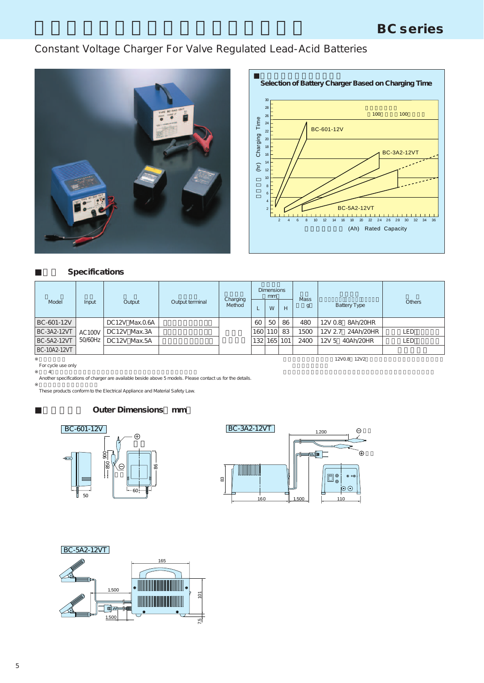# Constant Voltage Charger For Valve Regulated Lead-Acid Batteries





## **Specifications**

|                    | mm<br>Charging |                | <b>Dimensions</b> |        |                  | <b>Mass</b> |    |      |                               |            |
|--------------------|----------------|----------------|-------------------|--------|------------------|-------------|----|------|-------------------------------|------------|
| Model              | Input          | Output         | Output terminal   | Method |                  | W           | H  | g    | <b>Battery Type</b>           | Others     |
| BC-601-12V         |                | DC12V Max.0.6A |                   |        | 60               | 50          | 86 | 480  | 12V 0.8<br>8Ah/20HR           |            |
| <b>BC-3A2-12VT</b> | AC100V         | DC12V Max.3A   |                   |        | 160              | 110         | 83 | 1500 | 12V 2.7<br>24Ah/20HR          | <b>LED</b> |
| <b>BC-5A2-12VT</b> | 50/60Hz        | DC12V Max.5A   |                   |        | 132 <sub>1</sub> | 165 101     |    | 2400 | 12V <sub>5</sub><br>40Ah/20HR | <b>LED</b> |
| BC-10A2-12VT       |                |                |                   |        |                  |             |    |      |                               |            |
|                    |                |                |                   |        |                  |             |    |      | 12V0.8 12V2                   |            |

For cycle use only

※上記4機種以外の仕様も対応可能です。詳細は弊社にお問い合わせください。 Another specifications of charger are available beside above 5 models. Please contact us for the details.

These products conform to the Electrical Appliance and Material Safety Law.

#### **Outer Dimensions mm**





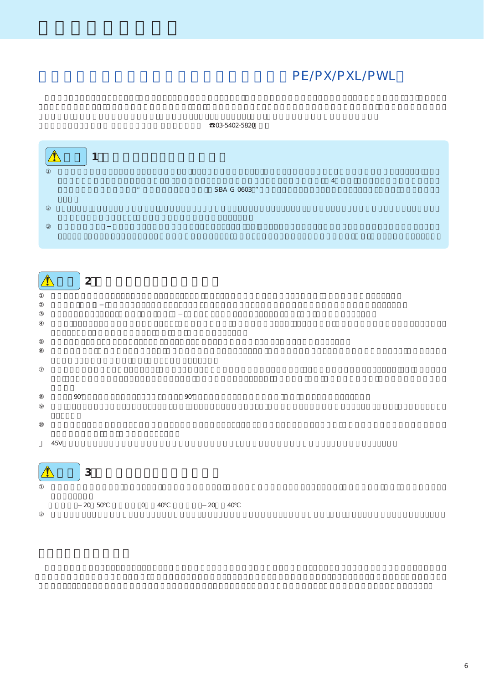# PE/PX/PXL/PWL